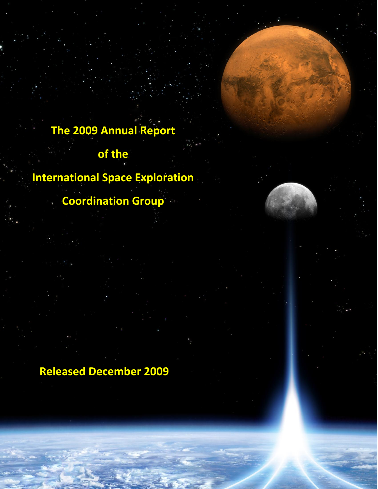# **The 2009 Annual Report**

## **of the**

# **International Space Exploration**

## **Coordination Group**

## **Released December 2009**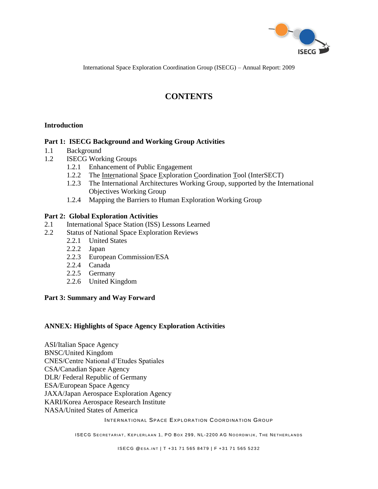

International Space Exploration Coordination Group (ISECG) – Annual Report: 2009

## **CONTENTS**

#### **Introduction**

#### **Part 1: ISECG Background and Working Group Activities**

- 1.1 Background
- 1.2 ISECG Working Groups
	- 1.2.1 Enhancement of Public Engagement
	- 1.2.2 The International Space Exploration Coordination Tool (InterSECT)
	- 1.2.3 The International Architectures Working Group, supported by the International Objectives Working Group
	- 1.2.4 Mapping the Barriers to Human Exploration Working Group

#### **Part 2: Global Exploration Activities**

- 2.1 International Space Station (ISS) Lessons Learned
- 2.2 Status of National Space Exploration Reviews
	- 2.2.1 United States
	- 2.2.2 Japan
	- 2.2.3 European Commission/ESA
	- 2.2.4 Canada
	- 2.2.5 Germany
	- 2.2.6 United Kingdom

#### **Part 3: Summary and Way Forward**

#### **ANNEX: Highlights of Space Agency Exploration Activities**

ASI/Italian Space Agency BNSC/United Kingdom CNES/Centre National d"Etudes Spatiales CSA/Canadian Space Agency DLR/ Federal Republic of Germany ESA/European Space Agency JAXA[/Japan Aerospace Exploration Agency](http://www.jaxa.jp/index_e.html) KARI/Korea [Aerospace Research Institute](http://en.wikipedia.org/wiki/Korea_Aerospace_Research_Institute) NASA/United States of America

#### INTERNATIONAL SPACE EXPLORATION COORDINATION GROUP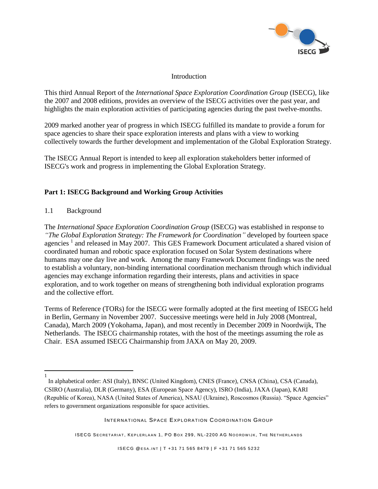

#### **Introduction**

This third Annual Report of the *International Space Exploration Coordination Group* (ISECG), like the 2007 and 2008 editions, provides an overview of the ISECG activities over the past year, and highlights the main exploration activities of participating agencies during the past twelve-months.

2009 marked another year of progress in which ISECG fulfilled its mandate to provide a forum for space agencies to share their space exploration interests and plans with a view to working collectively towards the further development and implementation of the Global Exploration Strategy.

The ISECG Annual Report is intended to keep all exploration stakeholders better informed of ISECG's work and progress in implementing the Global Exploration Strategy.

## **Part 1: ISECG Background and Working Group Activities**

#### 1.1 Background

 $\overline{\phantom{a}}$ 

The *International Space Exploration Coordination Group* (ISECG) was established in response to *"The Global Exploration Strategy: The Framework for Coordination"* developed by fourteen space agencies<sup>1</sup> and released in May 2007. This GES Framework Document articulated a shared vision of coordinated human and robotic space exploration focused on Solar System destinations where humans may one day live and work. Among the many Framework Document findings was the need to establish a voluntary, non-binding international coordination mechanism through which individual agencies may exchange information regarding their interests, plans and activities in space exploration, and to work together on means of strengthening both individual exploration programs and the collective effort.

Terms of Reference (TORs) for the ISECG were formally adopted at the first meeting of ISECG held in Berlin, Germany in November 2007. Successive meetings were held in July 2008 (Montreal, Canada), March 2009 (Yokohama, Japan), and most recently in December 2009 in Noordwijk, The Netherlands. The ISECG chairmanship rotates, with the host of the meetings assuming the role as Chair. ESA assumed ISECG Chairmanship from JAXA on May 20, 2009.

<sup>1</sup>  In alphabetical order: ASI (Italy), BNSC (United Kingdom), CNES (France), CNSA (China), CSA (Canada), CSIRO (Australia), DLR (Germany), ESA (European Space Agency), ISRO (India), JAXA (Japan), KARI (Republic of Korea), NASA (United States of America), NSAU (Ukraine), Roscosmos (Russia). "Space Agencies" refers to government organizations responsible for space activities.

INTERNATIONAL SPACE EXPLORATION COORDINATION GROUP

ISECG SECRETARIAT, KEPLERLAAN 1, PO BOX 299, NL-2200 AG NOORDWIJK, THE NETHERLANDS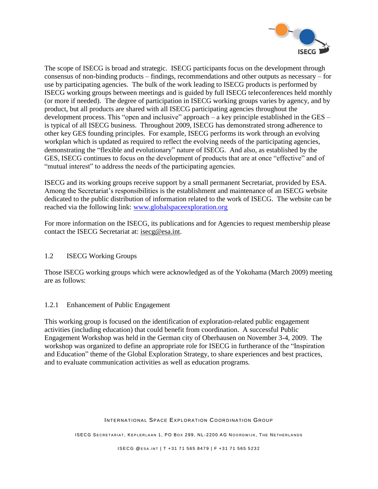

The scope of ISECG is broad and strategic. ISECG participants focus on the development through consensus of non-binding products – findings, recommendations and other outputs as necessary – for use by participating agencies. The bulk of the work leading to ISECG products is performed by ISECG working groups between meetings and is guided by full ISECG teleconferences held monthly (or more if needed). The degree of participation in ISECG working groups varies by agency, and by product, but all products are shared with all ISECG participating agencies throughout the development process. This "open and inclusive" approach – a key principle established in the GES – is typical of all ISECG business. Throughout 2009, ISECG has demonstrated strong adherence to other key GES founding principles. For example, ISECG performs its work through an evolving workplan which is updated as required to reflect the evolving needs of the participating agencies, demonstrating the "flexible and evolutionary" nature of ISECG. And also, as established by the GES, ISECG continues to focus on the development of products that are at once "effective" and of "mutual interest" to address the needs of the participating agencies.

ISECG and its working groups receive support by a small permanent Secretariat, provided by ESA. Among the Secretariat's responsibilities is the establishment and maintenance of an ISECG website dedicated to the public distribution of information related to the work of ISECG. The website can be reached via the following link: www.globalspaceexploration.org

For more information on the ISECG, its publications and for Agencies to request membership please contact the ISECG Secretariat at: isecg@esa.int.

#### 1.2 ISECG Working Groups

Those ISECG working groups which were acknowledged as of the Yokohama (March 2009) meeting are as follows:

#### 1.2.1 Enhancement of Public Engagement

This working group is focused on the identification of exploration-related public engagement activities (including education) that could benefit from coordination. A successful Public Engagement Workshop was held in the German city of Oberhausen on November 3-4, 2009. The workshop was organized to define an appropriate role for ISECG in furtherance of the "Inspiration and Education" theme of the Global Exploration Strategy, to share experiences and best practices, and to evaluate communication activities as well as education programs.

#### INTERNATIONAL SPACE EXPLORATION COORDINATION GROUP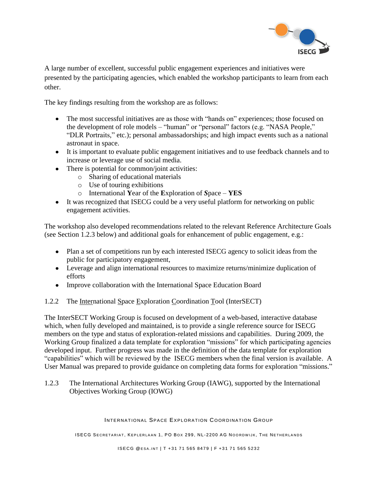

A large number of excellent, successful public engagement experiences and initiatives were presented by the participating agencies, which enabled the workshop participants to learn from each other.

The key findings resulting from the workshop are as follows:

- The most successful initiatives are as those with "hands on" experiences; those focused on the development of role models – "human" or "personal" factors (e.g. "NASA People," "DLR Portraits," etc.); personal ambassadorships; and high impact events such as a national astronaut in space.
- It is important to evaluate public engagement initiatives and to use feedback channels and to increase or leverage use of social media.
- There is potential for common/joint activities:
	- o Sharing of educational materials
	- o Use of touring exhibitions
	- o International **Y**ear of the **E**xploration of *S*pace **YES**
- It was recognized that ISECG could be a very useful platform for networking on public engagement activities.

The workshop also developed recommendations related to the relevant Reference Architecture Goals (see Section 1.2.3 below) and additional goals for enhancement of public engagement, e.g.:

- Plan a set of competitions run by each interested ISECG agency to solicit ideas from the public for participatory engagement,
- Leverage and align international resources to maximize returns/minimize duplication of efforts
- Improve collaboration with the International Space Education Board

#### 1.2.2 The International Space Exploration Coordination Tool (InterSECT)

The InterSECT Working Group is focused on development of a web-based, interactive database which, when fully developed and maintained, is to provide a single reference source for ISECG members on the type and status of exploration-related missions and capabilities. During 2009, the Working Group finalized a data template for exploration "missions" for which participating agencies developed input. Further progress was made in the definition of the data template for exploration "capabilities" which will be reviewed by the ISECG members when the final version is available. A User Manual was prepared to provide guidance on completing data forms for exploration "missions."

1.2.3 The International Architectures Working Group (IAWG), supported by the International Objectives Working Group (IOWG)

#### INTERNATIONAL SPACE EXPLORATION COORDINATION GROUP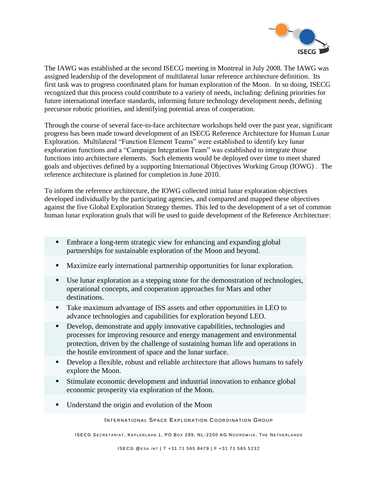

The IAWG was established at the second ISECG meeting in Montreal in July 2008. The IAWG was assigned leadership of the development of multilateral lunar reference architecture definition. Its first task was to progress coordinated plans for human exploration of the Moon. In so doing, ISECG recognized that this process could contribute to a variety of needs, including: defining priorities for future international interface standards, informing future technology development needs, defining precursor robotic priorities, and identifying potential areas of cooperation.

Through the course of several face-to-face architecture workshops held over the past year, significant progress has been made toward development of an ISECG Reference Architecture for Human Lunar Exploration. Multilateral "Function Element Teams" were established to identify key lunar exploration functions and a "Campaign Integration Team" was established to integrate those functions into architecture elements. Such elements would be deployed over time to meet shared goals and objectives defined by a supporting International Objectives Working Group (IOWG) . The reference architecture is planned for completion in June 2010.

To inform the reference architecture, the IOWG collected initial lunar exploration objectives developed individually by the participating agencies, and compared and mapped these objectives against the five Global Exploration Strategy themes. This led to the development of a set of common human lunar exploration goals that will be used to guide development of the Reference Architecture:

- **Embrace a long-term strategic view for enhancing and expanding global** partnerships for sustainable exploration of the Moon and beyond.
- Maximize early international partnership opportunities for lunar exploration.
- Use lunar exploration as a stepping stone for the demonstration of technologies, operational concepts, and cooperation approaches for Mars and other destinations.
- Take maximum advantage of ISS assets and other opportunities in LEO to advance technologies and capabilities for exploration beyond LEO.
- Develop, demonstrate and apply innovative capabilities, technologies and processes for improving resource and energy management and environmental protection, driven by the challenge of sustaining human life and operations in the hostile environment of space and the lunar surface.
- Develop a flexible, robust and reliable architecture that allows humans to safely explore the Moon.
- Stimulate economic development and industrial innovation to enhance global economic prosperity via exploration of the Moon.
- Understand the origin and evolution of the Moon

INTERNATIONAL SPACE EXPLORATION COORDINATION GROUP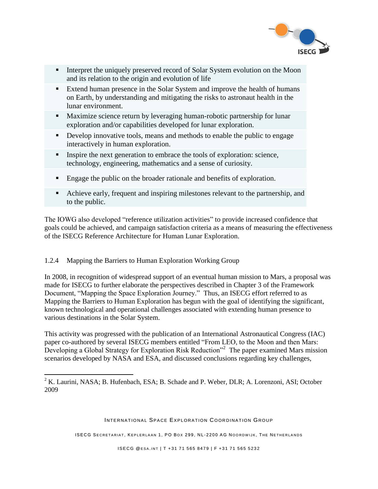

- Interpret the uniquely preserved record of Solar System evolution on the Moon and its relation to the origin and evolution of life
- Extend human presence in the Solar System and improve the health of humans on Earth, by understanding and mitigating the risks to astronaut health in the lunar environment.
- Maximize science return by leveraging human-robotic partnership for lunar exploration and/or capabilities developed for lunar exploration.
- Develop innovative tools, means and methods to enable the public to engage interactively in human exploration.
- Inspire the next generation to embrace the tools of exploration: science, technology, engineering, mathematics and a sense of curiosity.
- Engage the public on the broader rationale and benefits of exploration.
- Achieve early, frequent and inspiring milestones relevant to the partnership, and to the public.

The IOWG also developed "reference utilization activities" to provide increased confidence that goals could be achieved, and campaign satisfaction criteria as a means of measuring the effectiveness of the ISECG Reference Architecture for Human Lunar Exploration.

## 1.2.4 Mapping the Barriers to Human Exploration Working Group

 $\overline{\phantom{a}}$ 

In 2008, in recognition of widespread support of an eventual human mission to Mars, a proposal was made for ISECG to further elaborate the perspectives described in Chapter 3 of the Framework Document, "Mapping the Space Exploration Journey." Thus, an ISECG effort referred to as Mapping the Barriers to Human Exploration has begun with the goal of identifying the significant, known technological and operational challenges associated with extending human presence to various destinations in the Solar System.

This activity was progressed with the publication of an International Astronautical Congress (IAC) paper co-authored by several ISECG members entitled "From LEO, to the Moon and then Mars: Developing a Global Strategy for Exploration Risk Reduction<sup>32</sup> The paper examined Mars mission scenarios developed by NASA and ESA, and discussed conclusions regarding key challenges,

INTERNATIONAL SPACE EXPLORATION COORDINATION GROUP

 $2 K.$  Laurini, NASA; B. Hufenbach, ESA; B. Schade and P. Weber, DLR; A. Lorenzoni, ASI; October 2009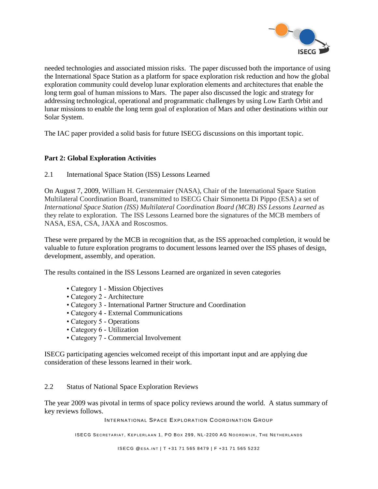

needed technologies and associated mission risks. The paper discussed both the importance of using the International Space Station as a platform for space exploration risk reduction and how the global exploration community could develop lunar exploration elements and architectures that enable the long term goal of human missions to Mars. The paper also discussed the logic and strategy for addressing technological, operational and programmatic challenges by using Low Earth Orbit and lunar missions to enable the long term goal of exploration of Mars and other destinations within our Solar System.

The IAC paper provided a solid basis for future ISECG discussions on this important topic.

#### **Part 2: Global Exploration Activities**

2.1 International Space Station (ISS) Lessons Learned

On August 7, 2009, William H. Gerstenmaier (NASA), Chair of the International Space Station Multilateral Coordination Board, transmitted to ISECG Chair Simonetta Di Pippo (ESA) a set of *International Space Station (ISS) Multilateral Coordination Board (MCB) ISS Lessons Learned* as they relate to exploration. The ISS Lessons Learned bore the signatures of the MCB members of NASA, ESA, CSA, JAXA and Roscosmos.

These were prepared by the MCB in recognition that, as the ISS approached completion, it would be valuable to future exploration programs to document lessons learned over the ISS phases of design, development, assembly, and operation.

The results contained in the ISS Lessons Learned are organized in seven categories

- Category 1 Mission Objectives
- Category 2 Architecture
- Category 3 International Partner Structure and Coordination
- Category 4 External Communications
- Category 5 Operations
- Category 6 Utilization
- Category 7 Commercial Involvement

ISECG participating agencies welcomed receipt of this important input and are applying due consideration of these lessons learned in their work.

#### 2.2 Status of National Space Exploration Reviews

The year 2009 was pivotal in terms of space policy reviews around the world. A status summary of key reviews follows.

INTERNATIONAL SPACE EXPLORATION COORDINATION GROUP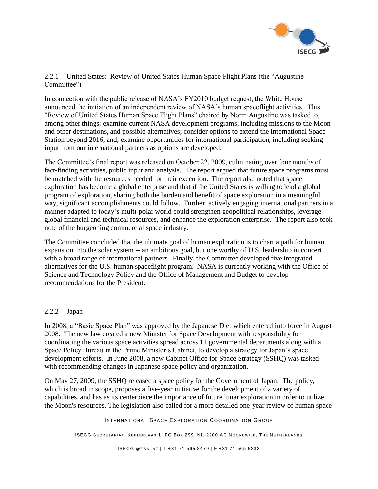

#### 2.2.1 United States: Review of United States Human Space Flight Plans (the "Augustine Committee")

In connection with the public release of NASA"s FY2010 budget request, the White House announced the initiation of an independent review of NASA"s human spaceflight activities. This "Review of United States Human Space Flight Plans" chaired by Norm Augustine was tasked to, among other things: examine current NASA development programs, including missions to the Moon and other destinations, and possible alternatives; consider options to extend the International Space Station beyond 2016, and; examine opportunities for international participation, including seeking input from our international partners as options are developed.

The Committee"s final report was released on October 22, 2009, culminating over four months of fact-finding activities, public input and analysis. The report argued that future space programs must be matched with the resources needed for their execution. The report also noted that space exploration has become a global enterprise and that if the United States is willing to lead a global program of exploration, sharing both the burden and benefit of space exploration in a meaningful way, significant accomplishments could follow. Further, actively engaging international partners in a manner adapted to today"s multi-polar world could strengthen geopolitical relationships, leverage global financial and technical resources, and enhance the exploration enterprise. The report also took note of the burgeoning commercial space industry.

The Committee concluded that the ultimate goal of human exploration is to chart a path for human expansion into the solar system -- an ambitious goal, but one worthy of U.S. leadership in concert with a broad range of international partners. Finally, the Committee developed five integrated alternatives for the U.S. human spaceflight program. NASA is currently working with the Office of Science and Technology Policy and the Office of Management and Budget to develop recommendations for the President.

#### 2.2.2 Japan

In 2008, a "Basic Space Plan" was approved by the Japanese Diet which entered into force in August 2008. The new law created a new Minister for Space Development with responsibility for coordinating the various space activities spread across 11 governmental departments along with a Space Policy Bureau in the Prime Minister's Cabinet, to develop a strategy for Japan's space development efforts. In June 2008, a new Cabinet Office for Space Strategy (SSHQ) was tasked with recommending changes in Japanese space policy and organization.

On May 27, 2009, the SSHQ released a space policy for the Government of Japan. The policy, which is broad in scope, proposes a five-year initiative for the development of a variety of capabilities, and has as its centerpiece the importance of future lunar exploration in order to utilize the Moon's resources. The legislation also called for a more detailed one-year review of human space

INTERNATIONAL SPACE EXPLORATION COORDINATION GROUP

ISECG SECRETARIAT, KEPLERLAAN 1, PO BOX 299, NL-2200 AG NOORDWIJK, THE NETHERLANDS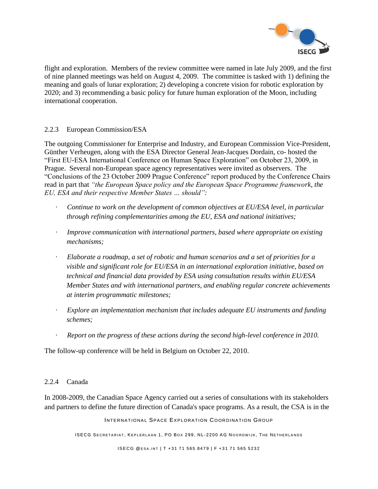

flight and exploration. Members of the review committee were named in late July 2009, and the first of nine planned meetings was held on August 4, 2009. The committee is tasked with 1) defining the meaning and goals of lunar exploration; 2) developing a concrete vision for robotic exploration by 2020; and 3) recommending a basic policy for future human exploration of the Moon, including international cooperation.

#### 2.2.3 European Commission/ESA

The outgoing Commissioner for Enterprise and Industry, and European Commission Vice-President, Günther Verheugen, along with the ESA Director General Jean-Jacques Dordain, co- hosted the "First EU-ESA International Conference on Human Space Exploration" on October 23, 2009, in Prague. Several non-European space agency representatives were invited as observers. The "Conclusions of the 23 October 2009 Prague Conference" report produced by the Conference Chairs read in part that *"the European Space policy and the European Space Programme framework, the EU, ESA and their respective Member States … should":*

- Continue to work on the development of common objectives at EU/ESA level, in particular *through refining complementarities among the EU, ESA and national initiatives;*
- · *Improve communication with international partners, based where appropriate on existing mechanisms;*
- · *Elaborate a roadmap, a set of robotic and human scenarios and a set of priorities for a visible and significant role for EU/ESA in an international exploration initiative, based on technical and financial data provided by ESA using consultation results within EU/ESA Member States and with international partners, and enabling regular concrete achievements at interim programmatic milestones;*
- · *Explore an implementation mechanism that includes adequate EU instruments and funding schemes;*
- · *Report on the progress of these actions during the second high-level conference in 2010.*

The follow-up conference will be held in Belgium on October 22, 2010.

#### 2.2.4 Canada

In 2008-2009, the Canadian Space Agency carried out a series of consultations with its stakeholders and partners to define the future direction of Canada's space programs. As a result, the CSA is in the

INTERNATIONAL SPACE EXPLORATION COORDINATION GROUP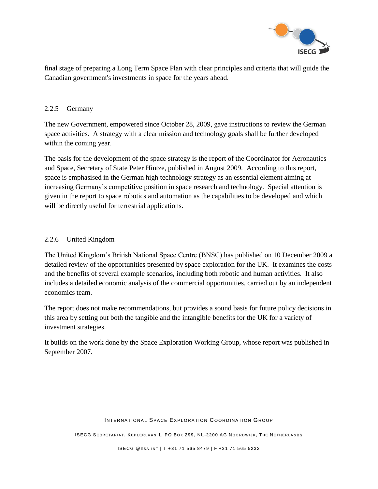

final stage of preparing a Long Term Space Plan with clear principles and criteria that will guide the Canadian government's investments in space for the years ahead.

#### 2.2.5 Germany

The new Government, empowered since October 28, 2009, gave instructions to review the German space activities. A strategy with a clear mission and technology goals shall be further developed within the coming year.

The basis for the development of the space strategy is the report of the Coordinator for Aeronautics and Space, Secretary of State Peter Hintze, published in August 2009. According to this report, space is emphasised in the German high technology strategy as an essential element aiming at increasing Germany's competitive position in space research and technology. Special attention is given in the report to space robotics and automation as the capabilities to be developed and which will be directly useful for terrestrial applications.

### 2.2.6 United Kingdom

The United Kingdom"s British National Space Centre (BNSC) has published on 10 December 2009 a detailed review of the opportunities presented by space exploration for the UK. It examines the costs and the benefits of several example scenarios, including both robotic and human activities. It also includes a detailed economic analysis of the commercial opportunities, carried out by an independent economics team.

The report does not make recommendations, but provides a sound basis for future policy decisions in this area by setting out both the tangible and the intangible benefits for the UK for a variety of investment strategies.

It builds on the work done by the Space Exploration Working Group, whose report was published in September 2007.

#### INTERNATIONAL SPACE EXPLORATION COORDINATION GROUP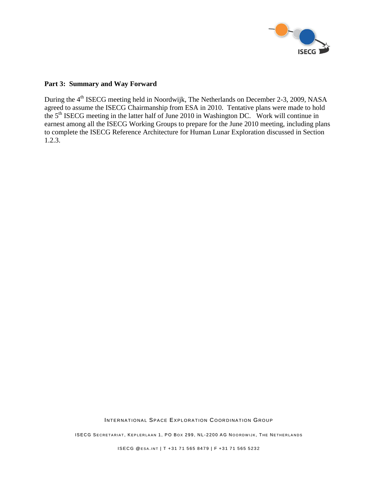

#### **Part 3: Summary and Way Forward**

During the 4<sup>th</sup> ISECG meeting held in Noordwijk, The Netherlands on December 2-3, 2009, NASA agreed to assume the ISECG Chairmanship from ESA in 2010. Tentative plans were made to hold the 5<sup>th</sup> ISECG meeting in the latter half of June 2010 in Washington DC. Work will continue in earnest among all the ISECG Working Groups to prepare for the June 2010 meeting, including plans to complete the ISECG Reference Architecture for Human Lunar Exploration discussed in Section 1.2.3.

INTERNATIONAL SPACE EXPLORATION COORDINATION GROUP

ISECG SECRETARIAT, KEPLERLAAN 1, PO BOX 299, NL-2200 AG NOORDWIJK, THE NETHERLANDS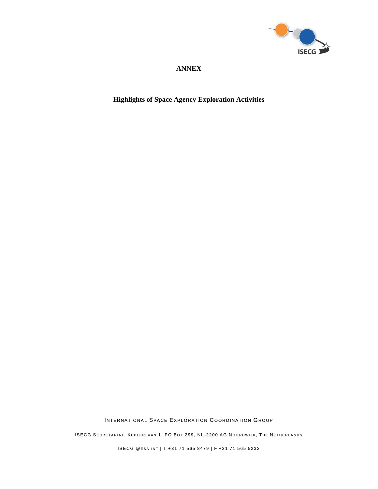

## **ANNEX**

## **Highlights of Space Agency Exploration Activities**

INTERNATIONAL SPACE EXPLORATION COORDINATION GROUP

ISECG SECRETARIAT, KEPLERLAAN 1, PO BOX 299, NL-2200 AG NOORDWIJK, THE NETHERLANDS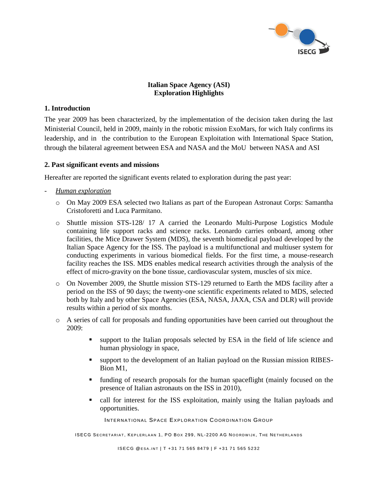

### **Italian Space Agency (ASI) Exploration Highlights**

#### **1. Introduction**

The year 2009 has been characterized, by the implementation of the decision taken during the last Ministerial Council, held in 2009, mainly in the robotic mission ExoMars, for wich Italy confirms its leadership, and in the contribution to the European Exploitation with International Space Station, through the bilateral agreement between ESA and NASA and the MoU between NASA and ASI

#### **2. Past significant events and missions**

Hereafter are reported the significant events related to exploration during the past year:

- *Human exploration*
	- o On May 2009 ESA selected two Italians as part of the European Astronaut Corps: Samantha Cristoforetti and Luca Parmitano.
	- o Shuttle mission STS-128/ 17 A carried the Leonardo Multi-Purpose Logistics Module containing life support racks and science racks. Leonardo carries onboard, among other facilities, the Mice Drawer System (MDS), the seventh biomedical payload developed by the Italian Space Agency for the ISS. The payload is a multifunctional and multiuser system for conducting experiments in various biomedical fields. For the first time, a mouse-research facility reaches the ISS. MDS enables medical research activities through the analysis of the effect of micro-gravity on the bone tissue, cardiovascular system, muscles of six mice.
	- o On November 2009, the Shuttle mission STS-129 returned to Earth the MDS facility after a period on the ISS of 90 days; the twenty-one scientific experiments related to MDS, selected both by Italy and by other Space Agencies (ESA, NASA, JAXA, CSA and DLR) will provide results within a period of six months.
	- o A series of call for proposals and funding opportunities have been carried out throughout the  $2009$ 
		- support to the Italian proposals selected by ESA in the field of life science and human physiology in space,
		- support to the development of an Italian payload on the Russian mission RIBES-Bion M1,
		- funding of research proposals for the human spaceflight (mainly focused on the presence of Italian astronauts on the ISS in 2010),
		- call for interest for the ISS exploitation, mainly using the Italian payloads and opportunities.

INTERNATIONAL SPACE EXPLORATION COORDINATION GROUP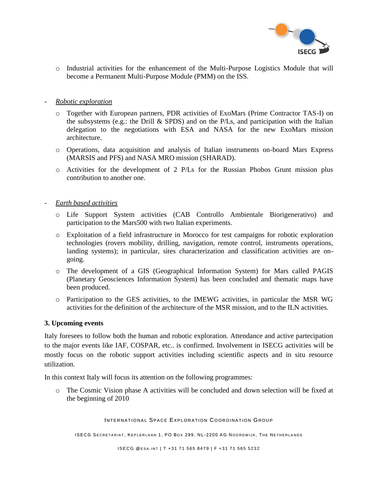

o Industrial activities for the enhancement of the Multi-Purpose Logistics Module that will become a Permanent Multi-Purpose Module (PMM) on the ISS.

#### - *Robotic exploration*

- o Together with European partners, PDR activities of ExoMars (Prime Contractor TAS-I) on the subsystems (e.g.: the Drill  $\&$  SPDS) and on the P/Ls, and participation with the Italian delegation to the negotiations with ESA and NASA for the new ExoMars mission architecture.
- o Operations, data acquisition and analysis of Italian instruments on-board Mars Express (MARSIS and PFS) and NASA MRO mission (SHARAD).
- o Activities for the development of 2 P/Ls for the Russian Phobos Grunt mission plus contribution to another one.

#### - *Earth based activities*

- o Life Support System activities (CAB Controllo Ambientale Biorigenerativo) and participation to the Mars500 with two Italian experiments.
- o Exploitation of a field infrastructure in Morocco for test campaigns for robotic exploration technologies (rovers mobility, drilling, navigation, remote control, instruments operations, landing systems); in particular, sites characterization and classification activities are ongoing.
- o The development of a GIS (Geographical Information System) for Mars called PAGIS (Planetary Geosciences Information System) has been concluded and thematic maps have been produced.
- o Participation to the GES activities, to the IMEWG activities, in particular the MSR WG activities for the definition of the architecture of the MSR mission, and to the ILN activities.

#### **3. Upcoming events**

Italy foresees to follow both the human and robotic exploration. Attendance and active partecipation to the major events like IAF, COSPAR, etc.. is confirmed. Involvement in ISECG activities will be mostly focus on the robotic support activities including scientific aspects and in situ resource utilization.

In this context Italy will focus its attention on the following programmes:

o The Cosmic Vision phase A activities will be concluded and down selection will be fixed at the beginning of 2010

INTERNATIONAL SPACE EXPLORATION COORDINATION GROUP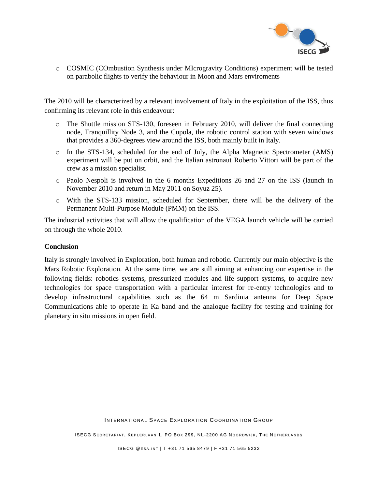

o COSMIC (COmbustion Synthesis under MIcrogravity Conditions) experiment will be tested on parabolic flights to verify the behaviour in Moon and Mars enviroments

The 2010 will be characterized by a relevant involvement of Italy in the exploitation of the ISS, thus confirming its relevant role in this endeavour:

- o The Shuttle mission STS-130, foreseen in February 2010, will deliver the final connecting node, Tranquillity Node 3, and the Cupola, the robotic control station with seven windows that provides a 360-degrees view around the ISS, both mainly built in Italy.
- o In the STS-134, scheduled for the end of July, the Alpha Magnetic Spectrometer (AMS) experiment will be put on orbit, and the Italian astronaut Roberto Vittori will be part of the crew as a mission specialist.
- o Paolo Nespoli is involved in the 6 months Expeditions 26 and 27 on the ISS (launch in November 2010 and return in May 2011 on Soyuz 25).
- o With the STS-133 mission, scheduled for September, there will be the delivery of the Permanent Multi-Purpose Module (PMM) on the ISS.

The industrial activities that will allow the qualification of the VEGA launch vehicle will be carried on through the whole 2010.

#### **Conclusion**

Italy is strongly involved in Exploration, both human and robotic. Currently our main objective is the Mars Robotic Exploration. At the same time, we are still aiming at enhancing our expertise in the following fields: robotics systems, pressurized modules and life support systems, to acquire new technologies for space transportation with a particular interest for re-entry technologies and to develop infrastructural capabilities such as the 64 m Sardinia antenna for Deep Space Communications able to operate in Ka band and the analogue facility for testing and training for planetary in situ missions in open field.

INTERNATIONAL SPACE EXPLORATION COORDINATION GROUP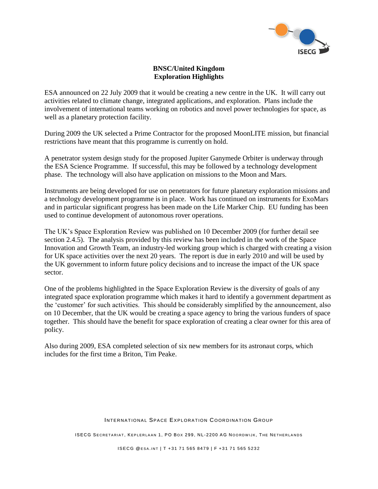

#### **BNSC/United Kingdom Exploration Highlights**

ESA announced on 22 July 2009 that it would be creating a new centre in the UK. It will carry out activities related to climate change, integrated applications, and exploration. Plans include the involvement of international teams working on robotics and novel power technologies for space, as well as a planetary protection facility.

During 2009 the UK selected a Prime Contractor for the proposed MoonLITE mission, but financial restrictions have meant that this programme is currently on hold.

A penetrator system design study for the proposed Jupiter Ganymede Orbiter is underway through the ESA Science Programme. If successful, this may be followed by a technology development phase. The technology will also have application on missions to the Moon and Mars.

Instruments are being developed for use on penetrators for future planetary exploration missions and a technology development programme is in place. Work has continued on instruments for ExoMars and in particular significant progress has been made on the Life Marker Chip. EU funding has been used to continue development of autonomous rover operations.

The UK"s Space Exploration Review was published on 10 December 2009 (for further detail see section 2.4.5). The analysis provided by this review has been included in the work of the Space Innovation and Growth Team, an industry-led working group which is charged with creating a vision for UK space activities over the next 20 years. The report is due in early 2010 and will be used by the UK government to inform future policy decisions and to increase the impact of the UK space sector.

One of the problems highlighted in the Space Exploration Review is the diversity of goals of any integrated space exploration programme which makes it hard to identify a government department as the "customer" for such activities. This should be considerably simplified by the announcement, also on 10 December, that the UK would be creating a space agency to bring the various funders of space together. This should have the benefit for space exploration of creating a clear owner for this area of policy.

Also during 2009, ESA completed selection of six new members for its astronaut corps, which includes for the first time a Briton, Tim Peake.

#### INTERNATIONAL SPACE EXPLORATION COORDINATION GROUP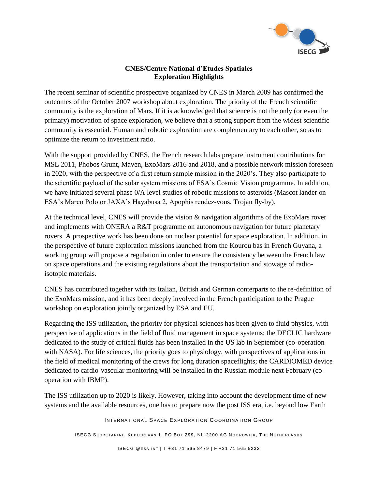

### **CNES/Centre National d'Etudes Spatiales Exploration Highlights**

The recent seminar of scientific prospective organized by CNES in March 2009 has confirmed the outcomes of the October 2007 workshop about exploration. The priority of the French scientific community is the exploration of Mars. If it is acknowledged that science is not the only (or even the primary) motivation of space exploration, we believe that a strong support from the widest scientific community is essential. Human and robotic exploration are complementary to each other, so as to optimize the return to investment ratio.

With the support provided by CNES, the French research labs prepare instrument contributions for MSL 2011, Phobos Grunt, Maven, ExoMars 2016 and 2018, and a possible network mission foreseen in 2020, with the perspective of a first return sample mission in the 2020"s. They also participate to the scientific payload of the solar system missions of ESA"s Cosmic Vision programme. In addition, we have initiated several phase 0/A level studies of robotic missions to asteroids (Mascot lander on ESA"s Marco Polo or JAXA"s Hayabusa 2, Apophis rendez-vous, Trojan fly-by).

At the technical level, CNES will provide the vision & navigation algorithms of the ExoMars rover and implements with ONERA a R&T programme on autonomous navigation for future planetary rovers. A prospective work has been done on nuclear potential for space exploration. In addition, in the perspective of future exploration missions launched from the Kourou bas in French Guyana, a working group will propose a regulation in order to ensure the consistency between the French law on space operations and the existing regulations about the transportation and stowage of radioisotopic materials.

CNES has contributed together with its Italian, British and German conterparts to the re-definition of the ExoMars mission, and it has been deeply involved in the French participation to the Prague workshop on exploration jointly organized by ESA and EU.

Regarding the ISS utilization, the priority for physical sciences has been given to fluid physics, with perspective of applications in the field of fluid management in space systems; the DECLIC hardware dedicated to the study of critical fluids has been installed in the US lab in September (co-operation with NASA). For life sciences, the priority goes to physiology, with perspectives of applications in the field of medical monitoring of the crews for long duration spaceflights; the CARDIOMED device dedicated to cardio-vascular monitoring will be installed in the Russian module next February (cooperation with IBMP).

The ISS utilization up to 2020 is likely. However, taking into account the development time of new systems and the available resources, one has to prepare now the post ISS era, i.e. beyond low Earth

INTERNATIONAL SPACE EXPLORATION COORDINATION GROUP

ISECG SECRETARIAT, KEPLERLAAN 1, PO BOX 299, NL-2200 AG NOORDWIJK, THE NETHERLANDS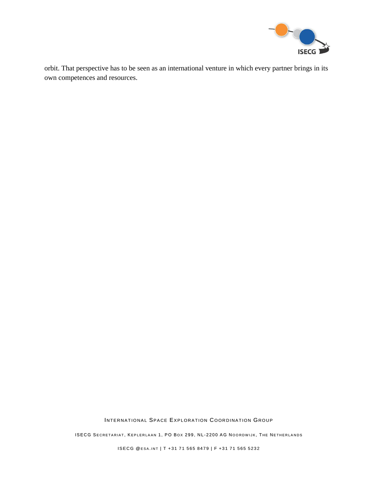

orbit. That perspective has to be seen as an international venture in which every partner brings in its own competences and resources.

INTERNATIONAL SPACE EXPLORATION COORDINATION GROUP

ISECG SECRETARIAT, KEPLERLAAN 1, PO BOX 299, NL-2200 AG NOORDWIJK, THE NETHERLANDS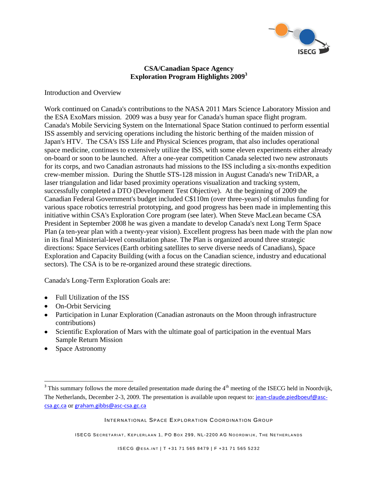

#### **CSA/Canadian Space Agency Exploration Program Highlights 2009<sup>3</sup>**

Introduction and Overview

Work continued on Canada's contributions to the NASA 2011 Mars Science Laboratory Mission and the ESA ExoMars mission. 2009 was a busy year for Canada's human space flight program. Canada's Mobile Servicing System on the International Space Station continued to perform essential ISS assembly and servicing operations including the historic berthing of the maiden mission of Japan's HTV. The CSA's ISS Life and Physical Sciences program, that also includes operational space medicine, continues to extensively utilize the ISS, with some eleven experiments either already on-board or soon to be launched. After a one-year competition Canada selected two new astronauts for its corps, and two Canadian astronauts had missions to the ISS including a six-months expedition crew-member mission. During the Shuttle STS-128 mission in August Canada's new TriDAR, a laser triangulation and lidar based proximity operations visualization and tracking system, successfully completed a DTO (Development Test Objective). At the beginning of 2009 the Canadian Federal Government's budget included C\$110m (over three-years) of stimulus funding for various space robotics terrestrial prototyping, and good progress has been made in implementing this initiative within CSA's Exploration Core program (see later). When Steve MacLean became CSA President in September 2008 he was given a mandate to develop Canada's next Long Term Space Plan (a ten-year plan with a twenty-year vision). Excellent progress has been made with the plan now in its final Ministerial-level consultation phase. The Plan is organized around three strategic directions: Space Services (Earth orbiting satellites to serve diverse needs of Canadians), Space Exploration and Capacity Building (with a focus on the Canadian science, industry and educational sectors). The CSA is to be re-organized around these strategic directions.

Canada's Long-Term Exploration Goals are:

- Full Utilization of the ISS
- On-Orbit Servicing
- Participation in Lunar Exploration (Canadian astronauts on the Moon through infrastructure contributions)
- Scientific Exploration of Mars with the ultimate goal of participation in the eventual Mars Sample Return Mission
- Space Astronomy

 $\overline{a}$ 

INTERNATIONAL SPACE EXPLORATION COORDINATION GROUP

<sup>&</sup>lt;sup>3</sup> This summary follows the more detailed presentation made during the  $4<sup>th</sup>$  meeting of the ISECG held in Noordvijk, The Netherlands, December 2-3, 2009. The presentation is available upon request to: [jean-claude.piedboeuf@asc](mailto:jean-claude.piedboeuf@asc-csa.gc.ca)[csa.gc.ca](mailto:jean-claude.piedboeuf@asc-csa.gc.ca) or [graham.gibbs@asc-csa.gc.ca](mailto:graham.gibbs@asc-csa.gc.ca)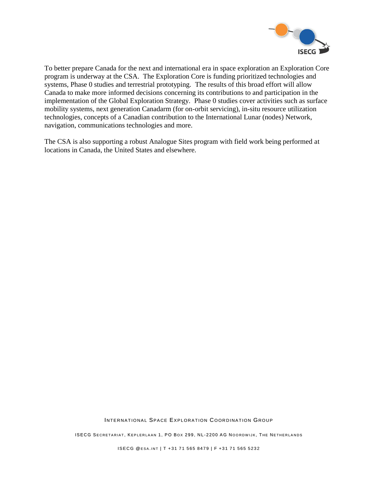

To better prepare Canada for the next and international era in space exploration an Exploration Core program is underway at the CSA. The Exploration Core is funding prioritized technologies and systems, Phase 0 studies and terrestrial prototyping. The results of this broad effort will allow Canada to make more informed decisions concerning its contributions to and participation in the implementation of the Global Exploration Strategy. Phase 0 studies cover activities such as surface mobility systems, next generation Canadarm (for on-orbit servicing), in-situ resource utilization technologies, concepts of a Canadian contribution to the International Lunar (nodes) Network, navigation, communications technologies and more.

The CSA is also supporting a robust Analogue Sites program with field work being performed at locations in Canada, the United States and elsewhere.

INTERNATIONAL SPACE EXPLORATION COORDINATION GROUP

ISECG SECRETARIAT, KEPLERLAAN 1, PO BOX 299, NL-2200 AG NOORDWIJK, THE NETHERLANDS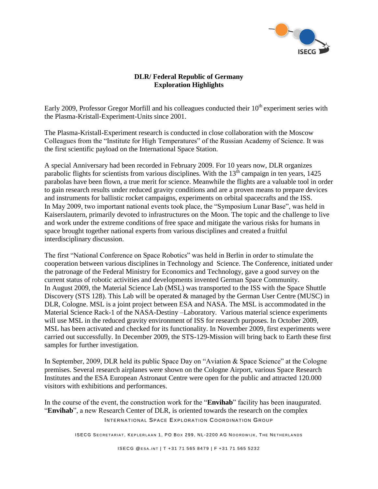

### **DLR/ Federal Republic of Germany Exploration Highlights**

Early 2009, Professor Gregor Morfill and his colleagues conducted their  $10<sup>th</sup>$  experiment series with the Plasma-Kristall-Experiment-Units since 2001.

The Plasma-Kristall-Experiment research is conducted in close collaboration with the Moscow Colleagues from the "Institute for High Temperatures" of the Russian Academy of Science. It was the first scientific payload on the International Space Station.

A special Anniversary had been recorded in February 2009. For 10 years now, DLR organizes parabolic flights for scientists from various disciplines. With the 13<sup>th</sup> campaign in ten years, 1425 parabolas have been flown, a true merit for science. Meanwhile the flights are a valuable tool in order to gain research results under reduced gravity conditions and are a proven means to prepare devices and instruments for ballistic rocket campaigns, experiments on orbital spacecrafts and the ISS. In May 2009, two important national events took place, the "Symposium Lunar Base", was held in Kaiserslautern, primarily devoted to infrastructures on the Moon. The topic and the challenge to live and work under the extreme conditions of free space and mitigate the various risks for humans in space brought together national experts from various disciplines and created a fruitful interdisciplinary discussion.

The first "National Conference on Space Robotics" was held in Berlin in order to stimulate the cooperation between various disciplines in Technology and Science. The Conference, initiated under the patronage of the Federal Ministry for Economics and Technology, gave a good survey on the current status of robotic activities and developments invented German Space Community. In August 2009, the Material Science Lab (MSL) was transported to the ISS with the Space Shuttle Discovery (STS 128). This Lab will be operated & managed by the German User Centre (MUSC) in DLR, Cologne. MSL is a joint project between ESA and NASA. The MSL is accommodated in the Material Science Rack-1 of the NASA-Destiny –Laboratory. Various material science experiments will use MSL in the reduced gravity environment of ISS for research purposes. In October 2009, MSL has been activated and checked for its functionality. In November 2009, first experiments were carried out successfully. In December 2009, the STS-129-Mission will bring back to Earth these first samples for further investigation.

In September, 2009, DLR held its public Space Day on "Aviation & Space Science" at the Cologne premises. Several research airplanes were shown on the Cologne Airport, various Space Research Institutes and the ESA European Astronaut Centre were open for the public and attracted 120.000 visitors with exhibitions and performances.

INTERNATIONAL SPACE EXPLORATION COORDINATION GROUP In the course of the event, the construction work for the "**Envihab**" facility has been inaugurated. "**Envihab**", a new Research Center of DLR, is oriented towards the research on the complex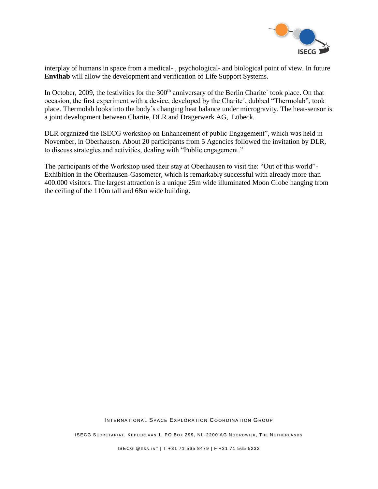

interplay of humans in space from a medical- , psychological- and biological point of view. In future **Envihab** will allow the development and verification of Life Support Systems.

In October, 2009, the festivities for the 300<sup>th</sup> anniversary of the Berlin Charite' took place. On that occasion, the first experiment with a device, developed by the Charite´, dubbed "Thermolab", took place. Thermolab looks into the body´s changing heat balance under microgravity. The heat-sensor is a joint development between Charite, DLR and Drägerwerk AG, Lübeck.

DLR organized the ISECG workshop on Enhancement of public Engagement", which was held in November, in Oberhausen. About 20 participants from 5 Agencies followed the invitation by DLR, to discuss strategies and activities, dealing with "Public engagement."

The participants of the Workshop used their stay at Oberhausen to visit the: "Out of this world"- Exhibition in the Oberhausen-Gasometer, which is remarkably successful with already more than 400.000 visitors. The largest attraction is a unique 25m wide illuminated Moon Globe hanging from the ceiling of the 110m tall and 68m wide building.

INTERNATIONAL SPACE EXPLORATION COORDINATION GROUP

ISECG SECRETARIAT, KEPLERLAAN 1, PO BOX 299, NL-2200 AG NOORDWIJK, THE NETHERLANDS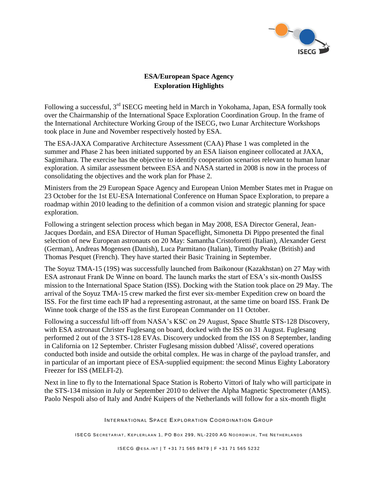

## **ESA/European Space Agency Exploration Highlights**

Following a successful, 3<sup>rd</sup> ISECG meeting held in March in Yokohama, Japan, ESA formally took over the Chairmanship of the International Space Exploration Coordination Group. In the frame of the International Architecture Working Group of the ISECG, two Lunar Architecture Workshops took place in June and November respectively hosted by ESA.

The ESA-JAXA Comparative Architecture Assessment (CAA) Phase 1 was completed in the summer and Phase 2 has been initiated supported by an ESA liaison engineer collocated at JAXA, Sagimihara. The exercise has the objective to identify cooperation scenarios relevant to human lunar exploration. A similar assessment between ESA and NASA started in 2008 is now in the process of consolidating the objectives and the work plan for Phase 2.

Ministers from the 29 European Space Agency and European Union Member States met in Prague on 23 October for the 1st EU-ESA International Conference on Human Space Exploration, to prepare a roadmap within 2010 leading to the definition of a common vision and strategic planning for space exploration.

Following a stringent selection process which began in May 2008, ESA Director General, Jean-Jacques Dordain, and ESA Director of Human Spaceflight, Simonetta Di Pippo presented the final selection of new European astronauts on 20 May: Samantha Cristoforetti (Italian), Alexander Gerst (German), Andreas Mogensen (Danish), Luca Parmitano (Italian), Timothy Peake (British) and Thomas Pesquet (French). They have started their Basic Training in September.

The Soyuz TMA-15 (19S) was successfully launched from Baikonour (Kazakhstan) on 27 May with ESA astronaut Frank De Winne on board. The launch marks the start of ESA"s six-month OasISS mission to the International Space Station (ISS). Docking with the Station took place on 29 May. The arrival of the Soyuz TMA-15 crew marked the first ever six-member Expedition crew on board the ISS. For the first time each IP had a representing astronaut, at the same time on board ISS. Frank De Winne took charge of the ISS as the first European Commander on 11 October.

Following a successful lift-off from NASA"s KSC on 29 August, Space Shuttle STS-128 Discovery, with ESA astronaut Christer Fuglesang on board, docked with the ISS on 31 August. Fuglesang performed 2 out of the 3 STS-128 EVAs. Discovery undocked from the ISS on 8 September, landing in California on 12 September. Christer Fuglesang mission dubbed 'Alissé', covered operations conducted both inside and outside the orbital complex. He was in charge of the payload transfer, and in particular of an important piece of ESA-supplied equipment: the second Minus Eighty Laboratory Freezer for ISS (MELFI-2).

Next in line to fly to the International Space Station is Roberto Vittori of Italy who will participate in the STS-134 mission in July or September 2010 to deliver the Alpha Magnetic Spectrometer (AMS). Paolo Nespoli also of Italy and André Kuipers of the Netherlands will follow for a six-month flight

INTERNATIONAL SPACE EXPLORATION COORDINATION GROUP

ISECG SECRETARIAT, KEPLERLAAN 1, PO BOX 299, NL-2200 AG NOORDWIJK, THE NETHERLANDS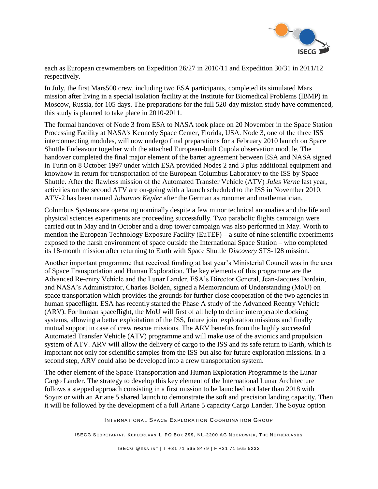

each as European crewmembers on Expedition 26/27 in 2010/11 and Expedition 30/31 in 2011/12 respectively.

In July, the first Mars500 crew, including two ESA participants, completed its simulated Mars mission after living in a special isolation facility at the Institute for Biomedical Problems (IBMP) in Moscow, Russia, for 105 days. The preparations for the full 520-day mission study have commenced, this study is planned to take place in 2010-2011.

The formal handover of Node 3 from ESA to NASA took place on 20 November in the Space Station Processing Facility at NASA's Kennedy Space Center, Florida, USA. Node 3, one of the three ISS interconnecting modules, will now undergo final preparations for a February 2010 launch on Space Shuttle Endeavour together with the attached European-built Cupola observation module. The handover completed the final major element of the barter agreement between ESA and NASA signed in Turin on 8 October 1997 under which ESA provided Nodes 2 and 3 plus additional equipment and knowhow in return for transportation of the European Columbus Laboratory to the ISS by Space Shuttle. After the flawless mission of the Automated Transfer Vehicle (ATV) *Jules Verne* last year, activities on the second ATV are on-going with a launch scheduled to the ISS in November 2010. ATV-2 has been named *Johannes Kepler* after the German astronomer and mathematician.

Columbus Systems are operating nominally despite a few minor technical anomalies and the life and physical sciences experiments are proceeding successfully. Two parabolic flights campaign were carried out in May and in October and a drop tower campaign was also performed in May. Worth to mention the European Technology Exposure Facility (EuTEF) – a suite of nine scientific experiments exposed to the harsh environment of space outside the International Space Station – who completed its 18-month mission after returning to Earth with Space Shuttle *Discovery* STS-128 mission.

Another important programme that received funding at last year"s Ministerial Council was in the area of Space Transportation and Human Exploration. The key elements of this programme are the Advanced Re-entry Vehicle and the Lunar Lander. ESA"s Director General, Jean-Jacques Dordain, and NASA"s Administrator, Charles Bolden, signed a Memorandum of Understanding (MoU) on space transportation which provides the grounds for further close cooperation of the two agencies in human spaceflight. ESA has recently started the Phase A study of the Advanced Reentry Vehicle (ARV). For human spaceflight, the MoU will first of all help to define interoperable docking systems, allowing a better exploitation of the ISS, future joint exploration missions and finally mutual support in case of crew rescue missions. The ARV benefits from the highly successful Automated Transfer Vehicle (ATV) programme and will make use of the avionics and propulsion system of ATV. ARV will allow the delivery of cargo to the ISS and its safe return to Earth, which is important not only for scientific samples from the ISS but also for future exploration missions. In a second step, ARV could also be developed into a crew transportation system.

The other element of the Space Transportation and Human Exploration Programme is the Lunar Cargo Lander. The strategy to develop this key element of the International Lunar Architecture follows a stepped approach consisting in a first mission to be launched not later than 2018 with Soyuz or with an Ariane 5 shared launch to demonstrate the soft and precision landing capacity. Then it will be followed by the development of a full Ariane 5 capacity Cargo Lander. The Soyuz option

INTERNATIONAL SPACE EXPLORATION COORDINATION GROUP

ISECG SECRETARIAT, KEPLERLAAN 1, PO BOX 299, NL-2200 AG NOORDWIJK, THE NETHERLANDS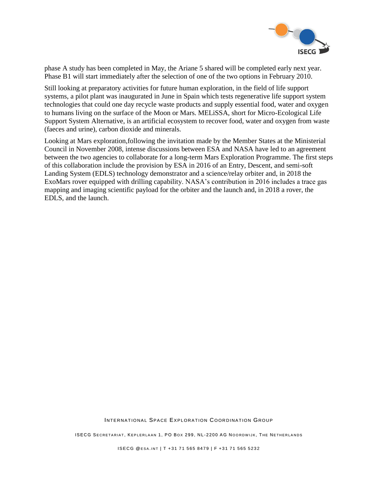

phase A study has been completed in May, the Ariane 5 shared will be completed early next year. Phase B1 will start immediately after the selection of one of the two options in February 2010.

Still looking at preparatory activities for future human exploration, in the field of life support systems, a pilot plant was inaugurated in June in Spain which tests regenerative life support system technologies that could one day recycle waste products and supply essential food, water and oxygen to humans living on the surface of the Moon or Mars. MELiSSA, short for Micro-Ecological Life Support System Alternative, is an artificial ecosystem to recover food, water and oxygen from waste (faeces and urine), carbon dioxide and minerals.

Looking at Mars exploration,following the invitation made by the Member States at the Ministerial Council in November 2008, intense discussions between ESA and NASA have led to an agreement between the two agencies to collaborate for a long-term Mars Exploration Programme. The first steps of this collaboration include the provision by ESA in 2016 of an Entry, Descent, and semi-soft Landing System (EDLS) technology demonstrator and a science/relay orbiter and, in 2018 the ExoMars rover equipped with drilling capability. NASA's contribution in 2016 includes a trace gas mapping and imaging scientific payload for the orbiter and the launch and, in 2018 a rover, the EDLS, and the launch.

INTERNATIONAL SPACE EXPLORATION COORDINATION GROUP

ISECG SECRETARIAT, KEPLERLAAN 1, PO BOX 299, NL-2200 AG NOORDWIJK, THE NETHERLANDS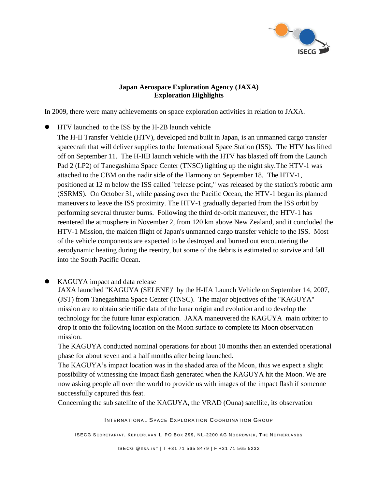

### **[Japan Aerospace Exploration Agency](http://www.jaxa.jp/index_e.html) (JAXA) Exploration Highlights**

In 2009, there were many achievements on space exploration activities in relation to JAXA.

 HTV launched to the ISS by the H-2B launch vehicle The H-II Transfer Vehicle (HTV), developed and built in Japan, is an unmanned cargo transfer spacecraft that will deliver supplies to the International Space Station (ISS). The HTV has lifted off on September 11. The H-IIB launch vehicle with the HTV has blasted off from the Launch Pad 2 (LP2) of Tanegashima Space Center (TNSC) lighting up the night sky.The HTV-1 was attached to the CBM on the nadir side of the Harmony on September 18. The HTV-1, positioned at 12 m below the ISS called "release point," was released by the station's robotic arm (SSRMS). On October 31, while passing over the Pacific Ocean, the HTV-1 began its planned maneuvers to leave the ISS proximity. The HTV-1 gradually departed from the ISS orbit by performing several thruster burns. Following the third de-orbit maneuver, the HTV-1 has reentered the atmosphere in November 2, from 120 km above New Zealand, and it concluded the HTV-1 Mission, the maiden flight of Japan's unmanned cargo transfer vehicle to the ISS. Most of the vehicle components are expected to be destroyed and burned out encountering the aerodynamic heating during the reentry, but some of the debris is estimated to survive and fall into the South Pacific Ocean.

## • KAGUYA impact and data release

JAXA launched "KAGUYA (SELENE)" by the H-IIA Launch Vehicle on September 14, 2007, (JST) from Tanegashima Space Center (TNSC). The major objectives of the "KAGUYA" mission are to obtain scientific data of the lunar origin and evolution and to develop the technology for the future lunar exploration. JAXA maneuvered the KAGUYA main orbiter to drop it onto the following location on the Moon surface to complete its Moon observation mission.

The KAGUYA conducted nominal operations for about 10 months then an extended operational phase for about seven and a half months after being launched.

The KAGUYA's impact location was in the shaded area of the Moon, thus we expect a slight possibility of witnessing the impact flash generated when the KAGUYA hit the Moon. We are now asking people all over the world to provide us with images of the impact flash if someone successfully captured this feat.

Concerning the sub satellite of the KAGUYA, the VRAD (Ouna) satellite, its observation

INTERNATIONAL SPACE EXPLORATION COORDINATION GROUP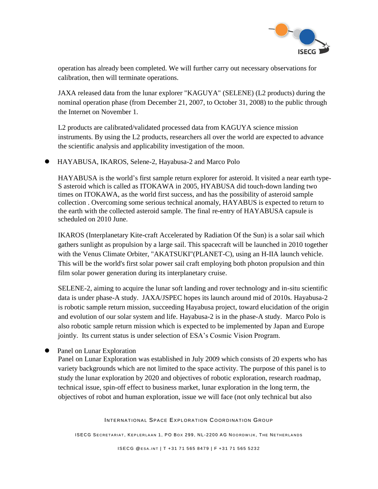

operation has already been completed. We will further carry out necessary observations for calibration, then will terminate operations.

JAXA released data from the lunar explorer "KAGUYA" (SELENE) (L2 products) during the nominal operation phase (from December 21, 2007, to October 31, 2008) to the public through the Internet on November 1.

L2 products are calibrated/validated processed data from KAGUYA science mission instruments. By using the L2 products, researchers all over the world are expected to advance the scientific analysis and applicability investigation of the moon.

HAYABUSA, IKAROS, Selene-2, Hayabusa-2 and Marco Polo

HAYABUSA is the world"s first sample return explorer for asteroid. It visited a near earth type-S asteroid which is called as ITOKAWA in 2005, HYABUSA did touch-down landing two times on ITOKAWA, as the world first success, and has the possibility of asteroid sample collection . Overcoming some serious technical anomaly, HAYABUS is expected to return to the earth with the collected asteroid sample. The final re-entry of HAYABUSA capsule is scheduled on 2010 June.

IKAROS (Interplanetary Kite-craft Accelerated by Radiation Of the Sun) is a solar sail which gathers sunlight as propulsion by a large sail. This spacecraft will be launched in 2010 together with the Venus Climate Orbiter, "AKATSUKI"(PLANET-C), using an H-IIA launch vehicle. This will be the world's first solar power sail craft employing both photon propulsion and thin film solar power generation during its interplanetary cruise.

SELENE-2, aiming to acquire the lunar soft landing and rover technology and in-situ scientific data is under phase-A study. JAXA/JSPEC hopes its launch around mid of 2010s. Hayabusa-2 is robotic sample return mission, succeeding Hayabusa project, toward elucidation of the origin and evolution of our solar system and life. Hayabusa-2 is in the phase-A study. Marco Polo is also robotic sample return mission which is expected to be implemented by Japan and Europe jointly. Its current status is under selection of ESA's Cosmic Vision Program.

Panel on Lunar Exploration

Panel on Lunar Exploration was established in July 2009 which consists of 20 experts who has variety backgrounds which are not limited to the space activity. The purpose of this panel is to study the lunar exploration by 2020 and objectives of robotic exploration, research roadmap, technical issue, spin-off effect to business market, lunar exploration in the long term, the objectives of robot and human exploration, issue we will face (not only technical but also

INTERNATIONAL SPACE EXPLORATION COORDINATION GROUP

ISECG SECRETARIAT, KEPLERLAAN 1, PO BOX 299, NL-2200 AG NOORDWIJK, THE NETHERLANDS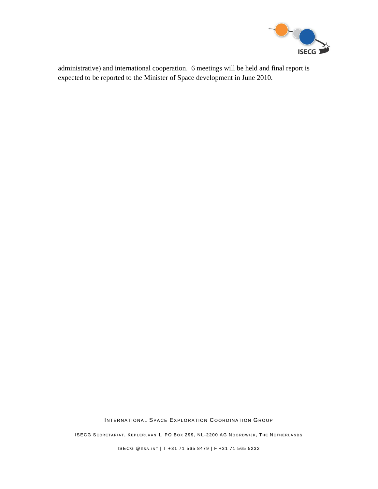

expected to be reported to the Minister of Space development in June 2010.

INTERNATIONAL SPACE EXPLORATION COORDINATION GROUP

ISECG SECRETARIAT, KEPLERLAAN 1, PO BOX 299, NL-2200 AG NOORDWIJK, THE NETHERLANDS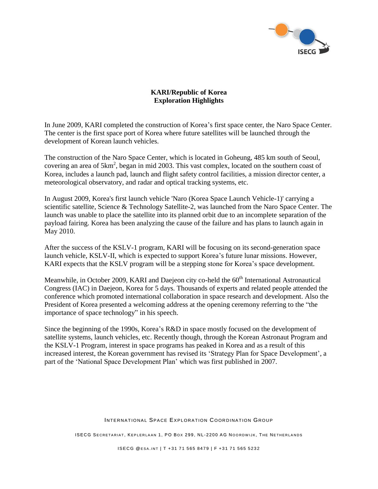

#### **KARI/Republic of Korea Exploration Highlights**

In June 2009, KARI completed the construction of Korea"s first space center, the Naro Space Center. The center is the first space port of Korea where future satellites will be launched through the development of Korean launch vehicles.

The construction of the Naro Space Center, which is located in Goheung, 485 km south of Seoul, covering an area of 5km<sup>2</sup>, began in mid 2003. This vast complex, located on the southern coast of Korea, includes a launch pad, launch and flight safety control facilities, a mission director center, a meteorological observatory, and radar and optical tracking systems, etc.

In August 2009, Korea's first launch vehicle 'Naro (Korea Space Launch Vehicle-1)' carrying a scientific satellite, Science & Technology Satellite-2, was launched from the Naro Space Center. The launch was unable to place the satellite into its planned orbit due to an incomplete separation of the payload fairing. Korea has been analyzing the cause of the failure and has plans to launch again in May 2010.

After the success of the KSLV-1 program, KARI will be focusing on its second-generation space launch vehicle, KSLV-II, which is expected to support Korea's future lunar missions. However, KARI expects that the KSLV program will be a stepping stone for Korea"s space development.

Meanwhile, in October 2009, KARI and Daejeon city co-held the 60<sup>th</sup> International Astronautical Congress (IAC) in Daejeon, Korea for 5 days. Thousands of experts and related people attended the conference which promoted international collaboration in space research and development. Also the President of Korea presented a welcoming address at the opening ceremony referring to the "the importance of space technology" in his speech.

Since the beginning of the 1990s, Korea's R&D in space mostly focused on the development of satellite systems, launch vehicles, etc. Recently though, through the Korean Astronaut Program and the KSLV-1 Program, interest in space programs has peaked in Korea and as a result of this increased interest, the Korean government has revised its 'Strategy Plan for Space Development', a part of the "National Space Development Plan" which was first published in 2007.

#### INTERNATIONAL SPACE EXPLORATION COORDINATION GROUP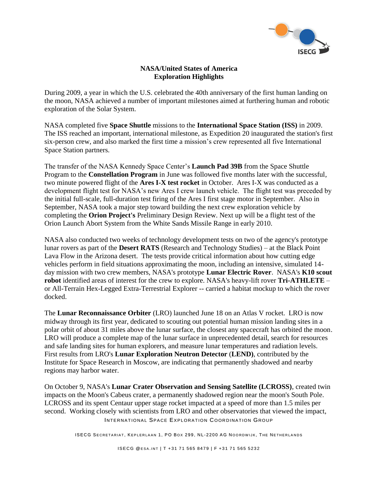

#### **NASA/United States of America Exploration Highlights**

During 2009, a year in which the U.S. celebrated the 40th anniversary of the first human landing on the moon, NASA achieved a number of important milestones aimed at furthering human and robotic exploration of the Solar System.

NASA completed five **Space Shuttle** missions to the **International Space Station (ISS)** in 2009. The ISS reached an important, international milestone, as Expedition 20 inaugurated the station's first six-person crew, and also marked the first time a mission's crew represented all five International Space Station partners.

The transfer of the NASA Kennedy Space Center"s **Launch Pad 39B** from the Space Shuttle Program to the **Constellation Program** in June was followed five months later with the successful, two minute powered flight of the **Ares I-X test rocket** in October. Ares I-X was conducted as a development flight test for NASA"s new Ares I crew launch vehicle. The flight test was preceded by the initial full-scale, full-duration test firing of the Ares I first stage motor in September. Also in September, NASA took a major step toward building the next crew exploration vehicle by completing the **Orion Project's** Preliminary Design Review. Next up will be a flight test of the Orion Launch Abort System from the White Sands Missile Range in early 2010.

NASA also conducted two weeks of technology development tests on two of the agency's prototype lunar rovers as part of the **Desert RATS** (Research and Technology Studies) – at the Black Point Lava Flow in the Arizona desert. The tests provide critical information about how cutting edge vehicles perform in field situations approximating the moon, including an intensive, simulated 14 day mission with two crew members, NASA's prototype **Lunar Electric Rover**. NASA's **K10 scout robot** identified areas of interest for the crew to explore. NASA's heavy-lift rover **Tri-ATHLETE** – or All-Terrain Hex-Legged Extra-Terrestrial Explorer -- carried a habitat mockup to which the rover docked.

The **Lunar Reconnaissance Orbiter** (LRO) launched June 18 on an Atlas V rocket. LRO is now midway through its first year, dedicated to scouting out potential human mission landing sites in a polar orbit of about 31 miles above the lunar surface, the closest any spacecraft has orbited the moon. LRO will produce a complete map of the lunar surface in unprecedented detail, search for resources and safe landing sites for human explorers, and measure lunar temperatures and radiation levels. First results from LRO's **Lunar Exploration Neutron Detector** (**LEND)**, contributed by the Institute for Space Research in Moscow, are indicating that permanently shadowed and nearby regions may harbor water.

INTERNATIONAL SPACE EXPLORATION COORDINATION GROUP On October 9, NASA's **Lunar Crater Observation and Sensing Satellite (LCROSS)**, created twin impacts on the Moon's Cabeus crater, a permanently shadowed region near the moon's South Pole. LCROSS and its spent Centaur upper stage rocket impacted at a speed of more than 1.5 miles per second. Working closely with scientists from LRO and other observatories that viewed the impact,